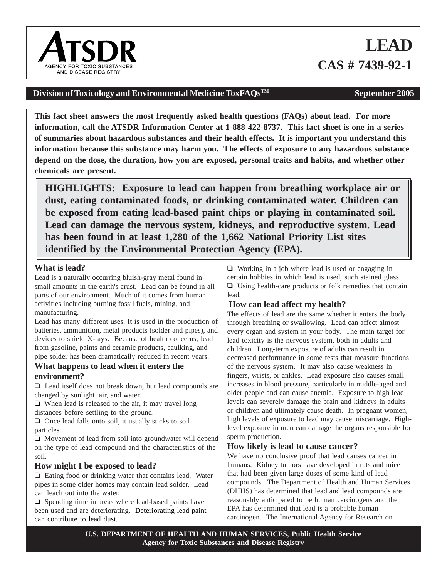# Division of Toxicology and Environmental Medicine ToxFAQs<sup>TM</sup> September 2005

**This fact sheet answers the most frequently asked health questions (FAQs) about lead. For more information, call the ATSDR Information Center at 1-888-422-8737. This fact sheet is one in a series of summaries about hazardous substances and their health effects. It is important you understand this information because this substance may harm you. The effects of exposure to any hazardous substance depend on the dose, the duration, how you are exposed, personal traits and habits, and whether other chemicals are present.**

**HIGHLIGHTS: Exposure to lead can happen from breathing workplace air or dust, eating contaminated foods, or drinking contaminated water. Children can be exposed from eating lead-based paint chips or playing in contaminated soil. Lead can damage the nervous system, kidneys, and reproductive system. Lead has been found in at least 1,280 of the 1,662 National Priority List sites identified by the Environmental Protection Agency (EPA).**

## **What is lead?**

Lead is a naturally occurring bluish-gray metal found in small amounts in the earth's crust. Lead can be found in all parts of our environment. Much of it comes from human activities including burning fossil fuels, mining, and manufacturing.

Lead has many different uses. It is used in the production of batteries, ammunition, metal products (solder and pipes), and devices to shield X-rays. Because of health concerns, lead from gasoline, paints and ceramic products, caulking, and pipe solder has been dramatically reduced in recent years.

## **What happens to lead when it enters the environment?**

 $\Box$  Lead itself does not break down, but lead compounds are changed by sunlight, air, and water.

 $\Box$  When lead is released to the air, it may travel long distances before settling to the ground.

 $\Box$  Once lead falls onto soil, it usually sticks to soil particles.

 $\Box$  Movement of lead from soil into groundwater will depend on the type of lead compound and the characteristics of the soil.

## **How might I be exposed to lead?**

 $\Box$  Eating food or drinking water that contains lead. Water pipes in some older homes may contain lead solder. Lead can leach out into the water.

 $\Box$  Spending time in areas where lead-based paints have been used and are deteriorating. Deteriorating lead paint can contribute to lead dust.

 $\Box$  Working in a job where lead is used or engaging in certain hobbies in which lead is used, such stained glass.  $\Box$  Using health-care products or folk remedies that contain lead.

# **How can lead affect my health?**

The effects of lead are the same whether it enters the body through breathing or swallowing. Lead can affect almost every organ and system in your body. The main target for lead toxicity is the nervous system, both in adults and children. Long-term exposure of adults can result in decreased performance in some tests that measure functions of the nervous system. It may also cause weakness in fingers, wrists, or ankles. Lead exposure also causes small increases in blood pressure, particularly in middle-aged and older people and can cause anemia. Exposure to high lead levels can severely damage the brain and kidneys in adults or children and ultimately cause death. In pregnant women, high levels of exposure to lead may cause miscarriage. Highlevel exposure in men can damage the organs responsible for sperm production.

## **How likely is lead to cause cancer?**

We have no conclusive proof that lead causes cancer in humans. Kidney tumors have developed in rats and mice that had been given large doses of some kind of lead compounds. The Department of Health and Human Services (DHHS) has determined that lead and lead compounds are reasonably anticipated to be human carcinogens and the EPA has determined that lead is a probable human carcinogen. The International Agency for Research on

**CAS # 7439-92-1**



**LEAD**